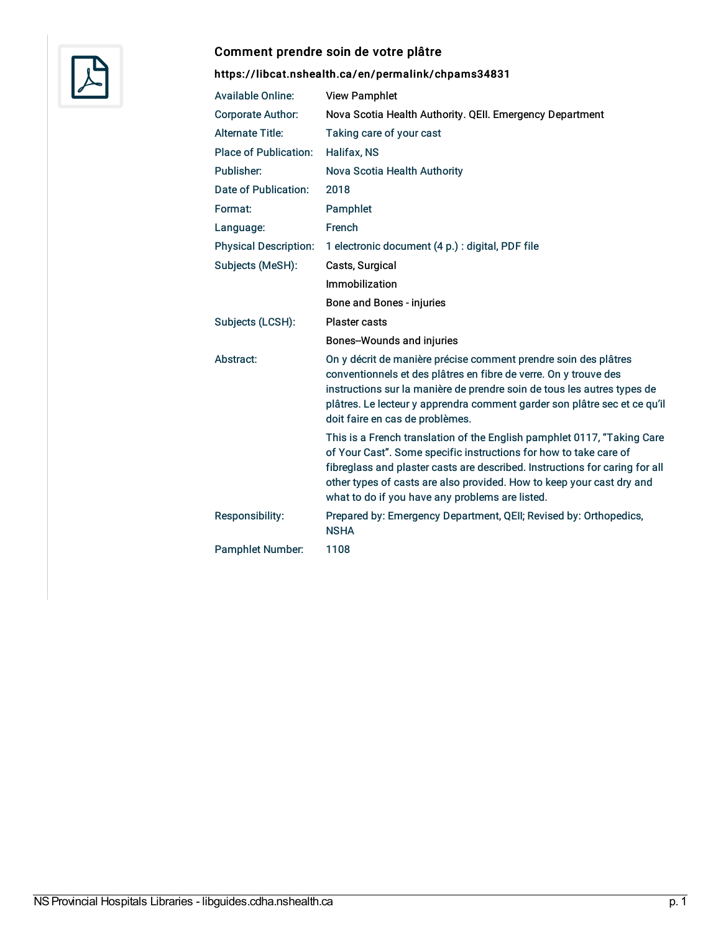

### Comment prendre soin de votre plâtre

# <https://libcat.nshealth.ca/en/permalink/chpams34831>

| <b>Available Online:</b>     | <b>View Pamphlet</b>                                                                                                                                                                                                                                                                                                                                    |
|------------------------------|---------------------------------------------------------------------------------------------------------------------------------------------------------------------------------------------------------------------------------------------------------------------------------------------------------------------------------------------------------|
| <b>Corporate Author:</b>     | Nova Scotia Health Authority. QEII. Emergency Department                                                                                                                                                                                                                                                                                                |
| <b>Alternate Title:</b>      | Taking care of your cast                                                                                                                                                                                                                                                                                                                                |
| <b>Place of Publication:</b> | <b>Halifax, NS</b>                                                                                                                                                                                                                                                                                                                                      |
| Publisher:                   | Nova Scotia Health Authority                                                                                                                                                                                                                                                                                                                            |
| Date of Publication:         | 2018                                                                                                                                                                                                                                                                                                                                                    |
| Format:                      | Pamphlet                                                                                                                                                                                                                                                                                                                                                |
| Language:                    | French                                                                                                                                                                                                                                                                                                                                                  |
| <b>Physical Description:</b> | 1 electronic document (4 p.) : digital, PDF file                                                                                                                                                                                                                                                                                                        |
| Subjects (MeSH):             | Casts, Surgical                                                                                                                                                                                                                                                                                                                                         |
|                              | Immobilization                                                                                                                                                                                                                                                                                                                                          |
|                              | Bone and Bones - injuries                                                                                                                                                                                                                                                                                                                               |
| Subjects (LCSH):             | <b>Plaster casts</b>                                                                                                                                                                                                                                                                                                                                    |
|                              | <b>Bones-Wounds and injuries</b>                                                                                                                                                                                                                                                                                                                        |
| Abstract:                    | On y décrit de manière précise comment prendre soin des plâtres<br>conventionnels et des plâtres en fibre de verre. On y trouve des<br>instructions sur la manière de prendre soin de tous les autres types de<br>plâtres. Le lecteur y apprendra comment garder son plâtre sec et ce qu'il<br>doit faire en cas de problèmes.                          |
|                              | This is a French translation of the English pamphlet 0117, "Taking Care<br>of Your Cast". Some specific instructions for how to take care of<br>fibreglass and plaster casts are described. Instructions for caring for all<br>other types of casts are also provided. How to keep your cast dry and<br>what to do if you have any problems are listed. |
| Responsibility:              | Prepared by: Emergency Department, QEII; Revised by: Orthopedics,<br><b>NSHA</b>                                                                                                                                                                                                                                                                        |
| <b>Pamphlet Number:</b>      | 1108                                                                                                                                                                                                                                                                                                                                                    |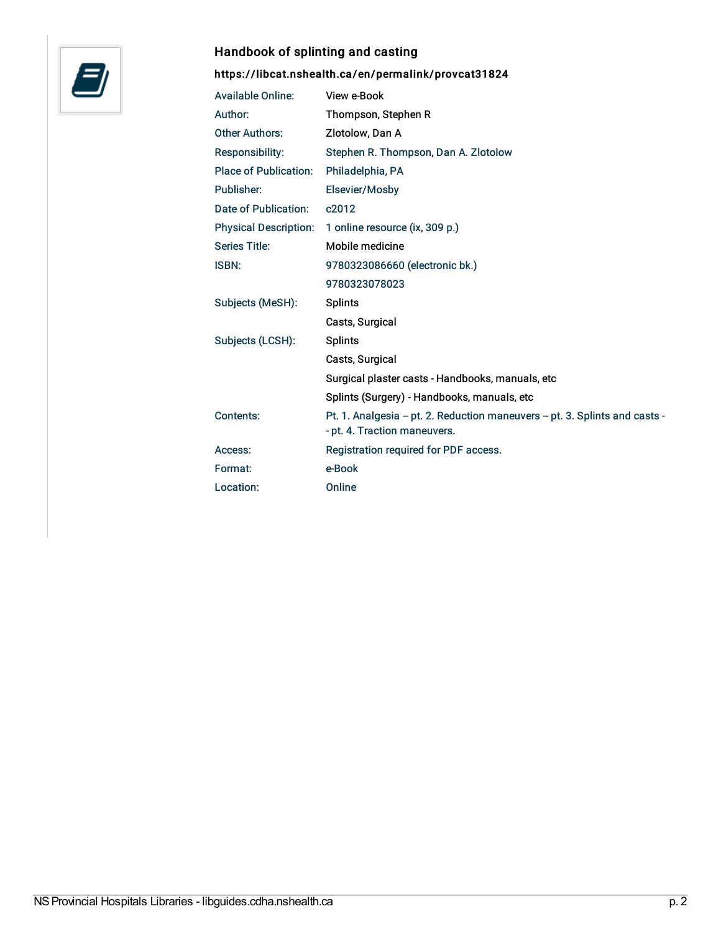

# Handbook of splinting and casting

# <https://libcat.nshealth.ca/en/permalink/provcat31824>

| <b>Available Online:</b>     | View e-Book                                                                                                |
|------------------------------|------------------------------------------------------------------------------------------------------------|
| Author:                      | Thompson, Stephen R                                                                                        |
| <b>Other Authors:</b>        | Zlotolow, Dan A                                                                                            |
| Responsibility:              | Stephen R. Thompson, Dan A. Zlotolow                                                                       |
| <b>Place of Publication:</b> | Philadelphia, PA                                                                                           |
| Publisher:                   | Elsevier/Mosby                                                                                             |
| Date of Publication:         | c2012                                                                                                      |
| <b>Physical Description:</b> | 1 online resource (ix, 309 p.)                                                                             |
| <b>Series Title:</b>         | Mobile medicine                                                                                            |
| <b>ISBN:</b>                 | 9780323086660 (electronic bk.)                                                                             |
|                              | 9780323078023                                                                                              |
| Subjects (MeSH):             | <b>Splints</b>                                                                                             |
|                              | Casts, Surgical                                                                                            |
| Subjects (LCSH):             | <b>Splints</b>                                                                                             |
|                              | Casts, Surgical                                                                                            |
|                              | Surgical plaster casts - Handbooks, manuals, etc                                                           |
|                              | Splints (Surgery) - Handbooks, manuals, etc                                                                |
| Contents:                    | Pt. 1. Analgesia - pt. 2. Reduction maneuvers - pt. 3. Splints and casts -<br>- pt. 4. Traction maneuvers. |
| Access:                      | Registration required for PDF access.                                                                      |
| Format:                      | e-Book                                                                                                     |
| Location:                    | Online                                                                                                     |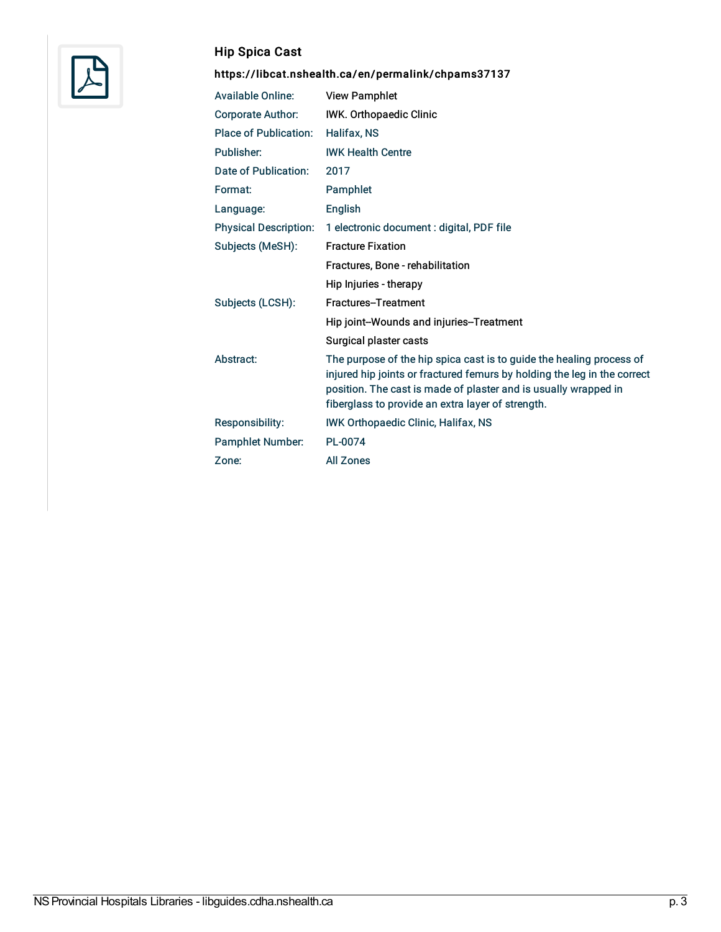

# Hip Spica Cast

# <https://libcat.nshealth.ca/en/permalink/chpams37137>

| <b>Available Online:</b>     | <b>View Pamphlet</b>                                                                                                                                                                                                                                                     |
|------------------------------|--------------------------------------------------------------------------------------------------------------------------------------------------------------------------------------------------------------------------------------------------------------------------|
| <b>Corporate Author:</b>     | IWK. Orthopaedic Clinic                                                                                                                                                                                                                                                  |
| <b>Place of Publication:</b> | Halifax, NS                                                                                                                                                                                                                                                              |
| Publisher:                   | <b>IWK Health Centre</b>                                                                                                                                                                                                                                                 |
| Date of Publication:         | 2017                                                                                                                                                                                                                                                                     |
| Format:                      | Pamphlet                                                                                                                                                                                                                                                                 |
| Language:                    | English                                                                                                                                                                                                                                                                  |
| <b>Physical Description:</b> | 1 electronic document : digital, PDF file                                                                                                                                                                                                                                |
| Subjects (MeSH):             | <b>Fracture Fixation</b>                                                                                                                                                                                                                                                 |
|                              | Fractures, Bone - rehabilitation                                                                                                                                                                                                                                         |
|                              | Hip Injuries - therapy                                                                                                                                                                                                                                                   |
| Subjects (LCSH):             | Fractures-Treatment                                                                                                                                                                                                                                                      |
|                              | Hip joint-Wounds and injuries-Treatment                                                                                                                                                                                                                                  |
|                              | Surgical plaster casts                                                                                                                                                                                                                                                   |
| Abstract:                    | The purpose of the hip spica cast is to guide the healing process of<br>injured hip joints or fractured femurs by holding the leg in the correct<br>position. The cast is made of plaster and is usually wrapped in<br>fiberglass to provide an extra layer of strength. |
| Responsibility:              | <b>IWK Orthopaedic Clinic, Halifax, NS</b>                                                                                                                                                                                                                               |
| <b>Pamphlet Number:</b>      | PL-0074                                                                                                                                                                                                                                                                  |
| Zone:                        | <b>All Zones</b>                                                                                                                                                                                                                                                         |